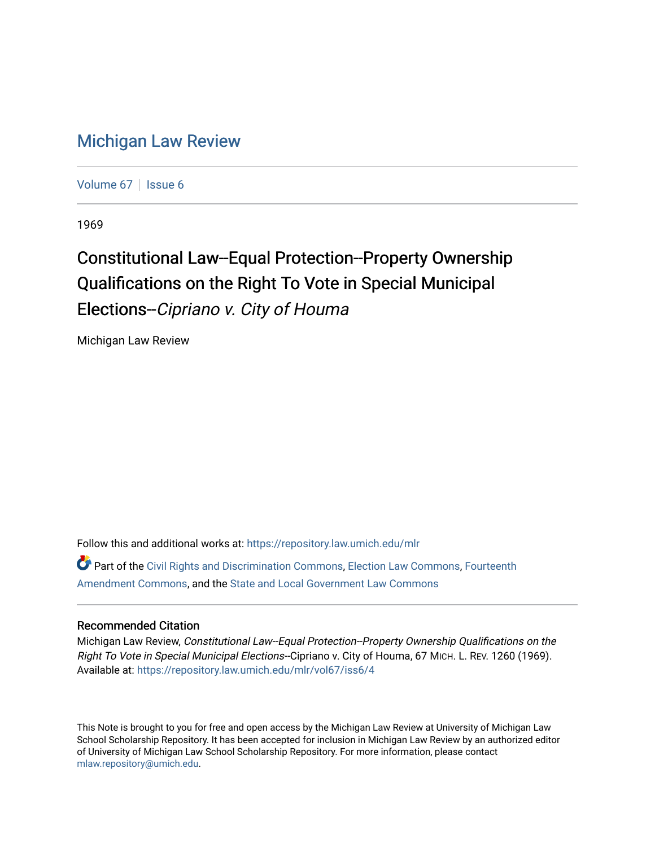## [Michigan Law Review](https://repository.law.umich.edu/mlr)

[Volume 67](https://repository.law.umich.edu/mlr/vol67) | [Issue 6](https://repository.law.umich.edu/mlr/vol67/iss6)

1969

# Constitutional Law--Equal Protection--Property Ownership Qualifications on the Right To Vote in Special Municipal Elections--Cipriano v. City of Houma

Michigan Law Review

Follow this and additional works at: [https://repository.law.umich.edu/mlr](https://repository.law.umich.edu/mlr?utm_source=repository.law.umich.edu%2Fmlr%2Fvol67%2Fiss6%2F4&utm_medium=PDF&utm_campaign=PDFCoverPages) 

Part of the [Civil Rights and Discrimination Commons,](http://network.bepress.com/hgg/discipline/585?utm_source=repository.law.umich.edu%2Fmlr%2Fvol67%2Fiss6%2F4&utm_medium=PDF&utm_campaign=PDFCoverPages) [Election Law Commons](http://network.bepress.com/hgg/discipline/1121?utm_source=repository.law.umich.edu%2Fmlr%2Fvol67%2Fiss6%2F4&utm_medium=PDF&utm_campaign=PDFCoverPages), [Fourteenth](http://network.bepress.com/hgg/discipline/1116?utm_source=repository.law.umich.edu%2Fmlr%2Fvol67%2Fiss6%2F4&utm_medium=PDF&utm_campaign=PDFCoverPages) [Amendment Commons](http://network.bepress.com/hgg/discipline/1116?utm_source=repository.law.umich.edu%2Fmlr%2Fvol67%2Fiss6%2F4&utm_medium=PDF&utm_campaign=PDFCoverPages), and the [State and Local Government Law Commons](http://network.bepress.com/hgg/discipline/879?utm_source=repository.law.umich.edu%2Fmlr%2Fvol67%2Fiss6%2F4&utm_medium=PDF&utm_campaign=PDFCoverPages)

#### Recommended Citation

Michigan Law Review, Constitutional Law--Equal Protection--Property Ownership Qualifications on the Right To Vote in Special Municipal Elections--Cipriano v. City of Houma, 67 MICH. L. REV. 1260 (1969). Available at: [https://repository.law.umich.edu/mlr/vol67/iss6/4](https://repository.law.umich.edu/mlr/vol67/iss6/4?utm_source=repository.law.umich.edu%2Fmlr%2Fvol67%2Fiss6%2F4&utm_medium=PDF&utm_campaign=PDFCoverPages)

This Note is brought to you for free and open access by the Michigan Law Review at University of Michigan Law School Scholarship Repository. It has been accepted for inclusion in Michigan Law Review by an authorized editor of University of Michigan Law School Scholarship Repository. For more information, please contact [mlaw.repository@umich.edu.](mailto:mlaw.repository@umich.edu)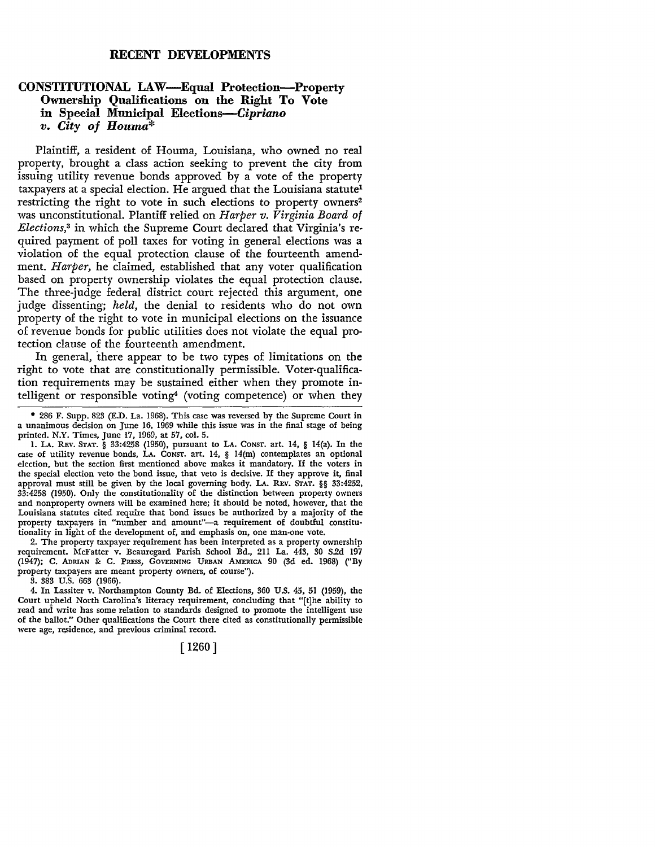### **RECENT DEVELOPMENTS**

#### **CONSTITUTIONAL LAW—Equal Protection—Property Ownership Qualifications on the Right To Vote in Special Municipal Elections-Cipriano**  *v. City of Houma\**

Plaintiff, a resident of Houma, Louisiana, who owned no real property, brought a class action seeking to prevent the city from issuing utility revenue bonds approved by a vote of the property taxpayers at a special election. He argued that the Louisiana statute<sup>1</sup> restricting the right to vote in such elections to property owners<sup>2</sup> was unconstitutional. Plantiff relied on *Harper v. Virginia Board of Elections,*3 in which the Supreme Court declared that Virginia's required payment of poll taxes for voting in general elections was a violation of the equal protection clause of the fourteenth amendment. *Harper,* he claimed, established that any voter qualification based on property ownership violates the equal protection clause. The three-judge federal district court rejected this argument, one judge dissenting; *held,* the denial to residents who do not own property of the right to vote in municipal elections on the issuance of revenue bonds for public utilities does not violate the equal protection clause of the fourteenth amendment.

In general, there appear to be two types of limitations on the right to vote that are constitutionally permissible. Voter-qualification requirements may be sustained either when they promote intelligent or responsible voting<sup>4</sup> (voting competence) or when they

2. The property taxpayer requirement has been interpreted as a property ownership requirement. McFatter v. Beauregard Parish School Bd., 211 La. 443, 30 S.2d 197 (1947); C. ADRIAN & C. PRESS, GOVERNING URBAN AMERICA 90 (3d ed. 1968) ("By property taxpayers are meant property owners, of course").

3. 383 U.S. 663 (1966).

4. In Lassiter v. Northampton County Bd. of Elections, 360 U.S. 45, 51 (1959), the Court upheld North Carolina's literacy requirement, concluding that "[t]he ability to read and write has some relation to standards designed to promote the intelligent use of the ballot." Other qualifications the Court there cited as constitutionally permissible were age, residence, and previous criminal record.

[ 1260]

<sup>• 286</sup> F. Supp. 823 (E.D. La. 1968). This case was reversed by the Supreme Court in a unanimous decision on June 16, 1969 while this issue was in the final stage of being printed. N.Y. Times, June 17, 1969, at 57, col. 5.

<sup>1.</sup> LA. REv. STAT. § 33:4258 (1950), pursuant to LA. CONST. art. 14, § 14(a). In the case of utility revenue bonds, **LA.** CONST. art. 14, § 14(m) contemplates an optional election, but the section first mentioned above makes it mandatory. If the voters in the special election veto the bond issue, that veto is decisive. If they approve it, final approval must still be given by the local governing body. LA. REV. STAT. §§ 33:4252, 33:4258 (1950). Only the constitutionality of the distinction between property owners and nonproperty owners will be examined here; it should be noted, however, that the Louisiana statutes cited require that bond issues be authorized by a majority of the property taxpayers in "number and amount"-a requirement of doubtful constitutionality in light of the development of, and emphasis on, one man-one vote.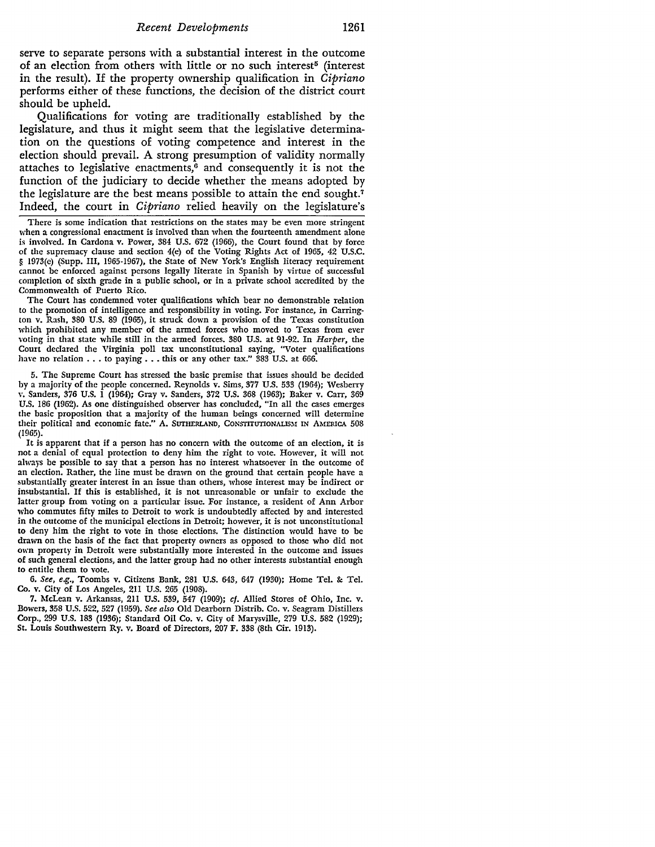serve to separate persons with a substantial interest in the outcome of an election from others with little or no such interest<sup>5</sup> (interest in the result). If the property ownership qualification in *Cipriano*  performs either of these functions, the decision of the district court should be upheld.

Qualifications for voting are traditionally established by the legislature, and thus it might seem that the legislative determination on the questions of voting competence and interest in the election should prevail. A strong presumption of validity normally attaches to legislative enactments, $6$  and consequently it is not the function of the judiciary to decide whether the means adopted by the legislature are the best means possible to attain the end sought.<sup>7</sup> Indeed, the court in *Cipriano* relied heavily on the legislature's

There is some indication that restrictions on the states may be even more stringent when a congressional enactment is involved than when the fourteenth amendment alone is involved. In Cardona v. Power, 384 U.S. 672 (1966), the Court found that by force of the supremacy clause and section 4(e) of the Voting Rights Act of 1965, 42 U.S.C. § 1973(e) (Supp. III, 1965-1967), the State of New York's English literacy requirement cannot be enforced against persons legally literate in Spanish by virtue of successful completion of sixth grade in a public school, or in a private school accredited by the Commonwealth of Puerto Rico.

The Court has condemned voter qualifications which bear no demonstrable relation to the promotion of intelligence and responsibility in voting. For instance, in Carrington v. Rash, 380 U.S. 89 (1965), **it** struck down a provision of the Texas constitution which prohibited any member of the armed forces who moved to Texas from ever \'Oting in that state while still in the armed forces. 380 U.S. at 91-92. In *Harper,* the Court declared the Virginia poll tax unconstitutional saying, "Voter qualifications have no relation  $\ldots$  to paying  $\ldots$  this or any other tax." 383 U.S. at 666.

5. The Supreme Court has stressed the basic premise that issues should be decided by a majority of the people concerned. Reynolds v. Sims, 377 U.S. 533 (1964); Wesberry v. Sanders, 376 U.S. I (1964); Gray v. Sanders, 372 U.S. 368 (1963); Baker v. Carr, 369 U.S. 186 (1962). As one distinguished observer has concluded, "In all the cases emerges the basic proposition that a majority of the human beings concerned will determine their political and economic fate." A. SUTHERLAND, CoNSTITUTIONALISM IN AMERICA 508 (1965).

**It** is apparent that if a person has no concern with the outcome of an election, **it** is not a denial of equal protection to deny him the right to vote. However, it will not always be possible to say that a person has no interest whatsoever in the outcome of an election. Rather, the line must be drawn on the ground that certain people have a substantially greater interest in an issue than others, whose interest may be indirect or insubstantial. If this is established, it is not unreasonable or unfair to exclude the latter group from voting on a particular issue. For instance, a resident of Ann Arbor who commutes fifty miles to Detroit to work is undoubtedly affected by and interested in the outcome of the municipal elections in Detroit; however, it is not unconstitutional to deny him the right to vote in those elections. The distinction would have to be drawn on the basis of the fact that property owners as opposed to those who did not own property in Detroit were substantially more interested in the outcome and issues of such general elections, and the latter group had no other interests substantial enough to entitle them to vote.

6. *See, e.g.,* Toombs v. Citizens Bank, 281 U.S. 643, 647 (1930); Home Tel. &: Tel. Co. v. City of Los Angeles, 211 U.S. 265 (1908).

7. McLean v. Arkansas, 211 U.S. 539, 547 (1909); cf. Allied Stores of Ohio, Inc. v. Bowers, 358 U.S. 522, 527 (1959). *See also* Old Dearborn Distrib. Co. v. Seagram Distillers Corp., 299 U.S. 183 (1936); Standard Oil Co. v. City of Marysville, 279 U.S. 582 (1929); St. Louis Southwestern Ry. v. Board of Directors, 207 F. 338 (8th Cir. 1913).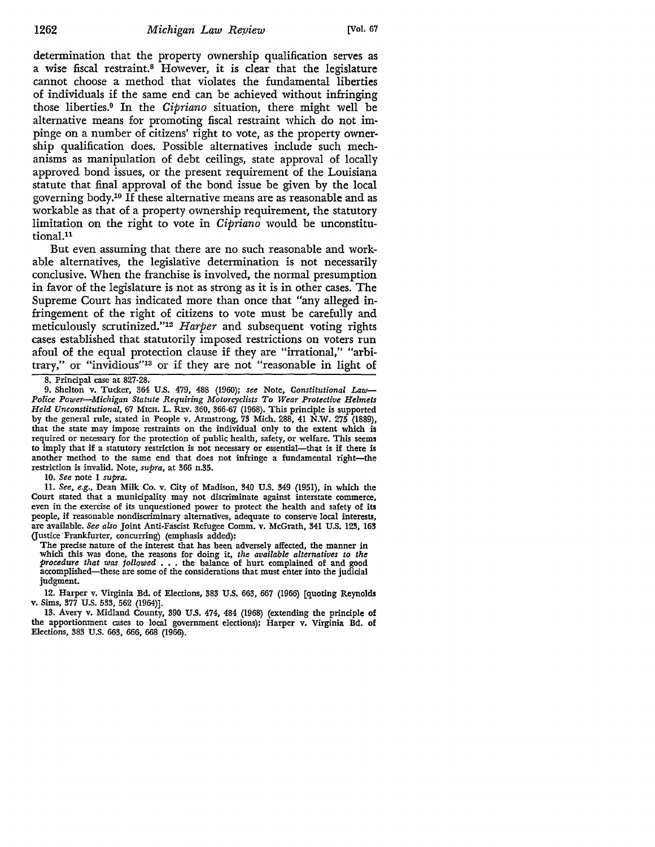determination that the property ownership qualification serves as a wise fiscal restraint.8 However, it is clear that the legislature cannot choose a method that violates the fundamental liberties of individuals if the same end can be achieved without infringing those liberties.9 In the *Cipriano* situation, there might well be alternative means for promoting fiscal restraint which do not impinge on a number of citizens' right to vote, as the property ownership qualification does. Possible alternatives include such mechanisms as manipulation of debt ceilings, state approval of locally approved bond issues, or the present requirement of the Louisiana statute that final approval of the bond issue be given by the local governing body.10 If these alternative means are as reasonable and as workable as that of a property ownership requirement, the statutory limitation on the right to vote in *Cipriano* would be unconstitutional.11

But even assuming that there are no such reasonable and workable alternatives, the legislative determination is not necessarily conclusive. When the franchise is involved, the normal presumption in favor of the legislature is not as strong as it is in other cases. The Supreme Court has indicated more than once that "any alleged infringement of the right of citizens to vote must be carefully and meticulously scrutinized."12 *Harper* and subsequent voting rights cases established that statutorily imposed restrictions on voters run afoul of the equal protection clause if they are "irrational," "arbitrary," or "invidious"13 or if they are not "reasonable in light of

8. Principal case at 827-28.

9. Shelton v. Tucker, 364 U.S. 479, 488 (1960); *see* Note, *Constitutional Law-Police Power-Michigan Statute Requiring Motorcyclists To Wear Protective Helmets Held Unconstitutional,* 67 MICH. L. REv. 360, 366-67 (1968). This principle is supported by the general rule, stated in People v. Armstrong, 73 Mich. 288, 41 N.W. 275 (1889), that the state may impose restraints on the individual only to the extent which is required or necessary for the protection of public health, safety, or welfare. This seems to imply that if a statutory restriction is not necessary or essential-that is if there is another method to the same end that does not infringe a fundamental right-the restriction is invalid. Note, *supra,* at 366 n.35.

10. *See* note 1 *supra.* 

11. See, *e.g.,* Dean Milk Co. v. City of Madison, 340 U.S. 349 (1951), in which the Court stated that a municipality may not discriminate against interstate commerce, even in the exercise of its unquestioned power to protect the health and safety of its people, if reasonable nondiscriminary alternatives, adequate to conserve local interests, are available. *See also* Joint Anti-Fascist Refugee Comm. v. McGrath, 341 U.S. 123, 163 (Justice Frankfurter, concurring) (emphasis added):

The precise nature of the interest that has been adversely affected, the manner in which this was done, the reasons for doing it, *the available alternatives to the procedure that was followed* • . . the balance of hurt complained of and good accomplished-these are some of the considerations that must enter into the judicial judgment.

12. Harper v. Virginia Bd. of Elections, 383 U.S. 663, 667 (1966) [quoting Reynolds v. Sims, 377 U.S. 533, 562 (1964)].

13. Avery v. Midland County, 390 U.S. 474, 484 (1968) (extending the principle of the apportionment cases to local government elections); Harper v. Virginia Bd. of Elections, 383 U.S. 663, 666, 668 (1966).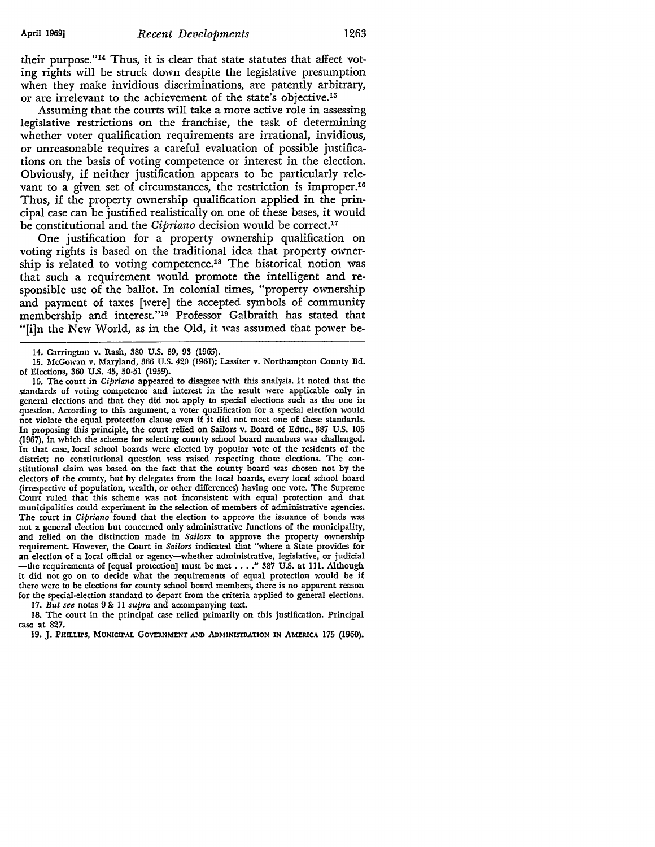their purpose."14 Thus, it is clear that state statutes that affect voting rights will be struck down despite the legislative presumption when they make invidious discriminations, are patently arbitrary, or are irrelevant to the achievement of the state's objective.15

Assuming that the courts will take a more active role in assessing legislative restrictions on the franchise, the task of determining whether voter qualification requirements are irrational, invidious, or unreasonable requires a careful evaluation of possible justifications on the basis of voting competence or interest in the election. Obviously, if neither justification appears to be particularly relevant to a given set of circumstances, the restriction is improper.<sup>16</sup> Thus, if the property ownership qualification applied in the principal case can be justified realistically on one of these bases, it would be constitutional and the *Cipriano* decision would be correct.17

One justification for a property ownership qualification on voting rights is based on the traditional idea that property ownership is related to voting competence.18 The historical notion was that such a requirement would promote the intelligent and responsible use of the ballot. In colonial times, "property ownership and payment of taxes [were] the accepted symbols of community membership and interest."19 Professor Galbraith has stated that "[i]n the New World, as in the Old, it was assumed that power be-

16. The court in *Cipriano* appeared to disagree with this analysis. It noted that the standards of voting competence and interest in the result were applicable only in general elections and that they did not apply to special elections such as the one in question. According to this argument, a voter qualification for a special election would not violate the equal protection clause even if it did not meet one of these standards. In proposing this principle, the court relied on Sailors v. Board of Educ., 387 U.S. 105 (1967), in which the scheme for selecting county school board members was challenged. In that case, local school boards were elected by popular vote of the residents of the district; no constitutional question was raised respecting those elections. The constitutional claim was based on the fact that the county board was chosen not by the electors of the county, but by delegates from the local boards, every local school board (irrespective of population, wealth, or other differences) having one vote. The Supreme Court ruled that this scheme was not inconsistent with equal protection and that municipalities could experiment in the selection of members of administrative agencies. The court in *Cipriano* found that the election to approve the issuance of bonds was not a general election but concerned only administrative functions of the municipality, and relied on the distinction made in *Sailors* to approve the property ownership requirement. However, the Court in *Sailors* indicated that "where a State provides for an election of a local official or agency-whether administrative, legislative, or judicial -the requirements of [equal protection] must be met . . . ." 387 U.S. at 111. Although it did not go on to decide what the requirements of equal protection would be if there were to be elections for county school board members, there is no apparent reason for the special-election standard to depart from the criteria applied to general elections. 17. *But see* notes 9 &: ll *supra* and accompanying text.

18. The court in the principal case relied primarily on this justification. Principal case at 827.

19. J. PHILLIPS, MUNICIPAL GOVERNMENT AND ADMINISTRATION IN AMERICA 175 (1960).

<sup>14.</sup> Carrington v. Rash, 380 U.S. 89, 93 (1965).

<sup>15.</sup> McGowan v. Maryland, 366 U.S. 420 (1961); Lassiter v. Northampton County Bd. of Elections, 360 U.S. 45, 50·51 (1959).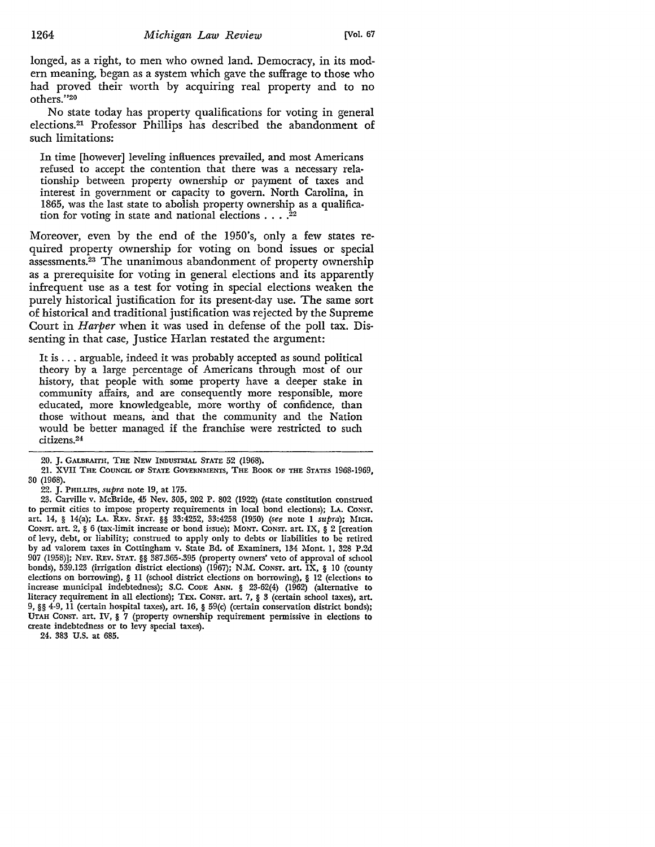longed, as a right, to men who owned land. Democracy, in its modern meaning, began as a system which gave the suffrage to those who had proved their worth by acquiring real property and to no others."20

No state today has property qualifications for voting in general elections.21 Professor Phillips has described the abandonment of such limitations:

In time [however] leveling influences prevailed, and most Americans refused to accept the contention that there was a necessary relationship between property ownership or payment of taxes and interest in government or capacity to govern. North Carolina, in 1865, was the last state to abolish property ownership as a qualification for voting in state and national elections  $\dots$ .<sup>22</sup>

Moreover, even by the end of the 1950's, only a few states required property ownership for voting on bond issues or special assessments.23 The unanimous abandonment of property ownership as a prerequisite for voting in general elections and its apparently infrequent use as a test for voting in special elections weaken the purely historical justification for its present-day use. The same sort of historical and traditional justification was rejected by the Supreme Court in *Harper* when it was used in defense of the poll tax. Dissenting in that case, Justice Harlan restated the argument:

It is ... arguable, indeed it was probably accepted as sound political theory by a large percentage of Americans through most of our history, that people with some property have a deeper stake in community affairs, and are consequently more responsible, more educated, more knowledgeable, more worthy of confidence, than those without means, and that the community and the Nation would be better managed if the franchise were restricted to such citizens.24

21. XVII THE COUNCIL OF STATE GOVERNMENTS, THE BOOK OF THE STATES 1968-1969, 30 (1968).

22. J. PHILLIPS, *supra* note 19, at 175.

23. Carville v. McBride, 45 Nev. 305, 202 P. 802 (1922) (state constitution construed to permit cities to impose property requirements in local bond elections); **LA.** CONST, art. 14, § 14(a); LA. REv. STAT. §§ 33:4252, 33:4258 (1950) *(see* note I *supra);* MICH, CoNST. art. 2, § 6 (tax-limit increase or bond issue); MoNT. CONST. art. IX, § 2 [creation of levy, debt, or liability; construed to apply only to debts or liabilities to be retired by ad valorem taxes in Cottingham v. State Bd. of Examiners, 134 Mont. I, 328 P.2d 907 (1958)]; NEV. REv. STAT. §§ 387.365-.395 (property owners' veto of approval of sd1ool bonds), 539.123 (irrigation district elections) (1967); N.M. Consr. art. IX, § 10 (county elections on borrowing), § 11 (school district elections on borrowing), § 12 (elections to increase municipal indebtedness); S.C. CODE ANN. § 23-62(4) (1962) (alternative to literacy requirement in all elections); TEX. CONST. art. 7, § 3 (certain sdtool taxes), art. 9, §§ 4-9, 11 (certain hospital taxes), art. 16, § 59(c) (certain conservation district bonds); UTAH CONST. art. IV, § 7 (property ownership requirement permissive in elections to create indebtedness or to levy special taxes).

24. 383 U.S. at 685.

<sup>20.</sup> J. GALBRAITH, THE NEW INDUSTRIAL STATE 52 (1968).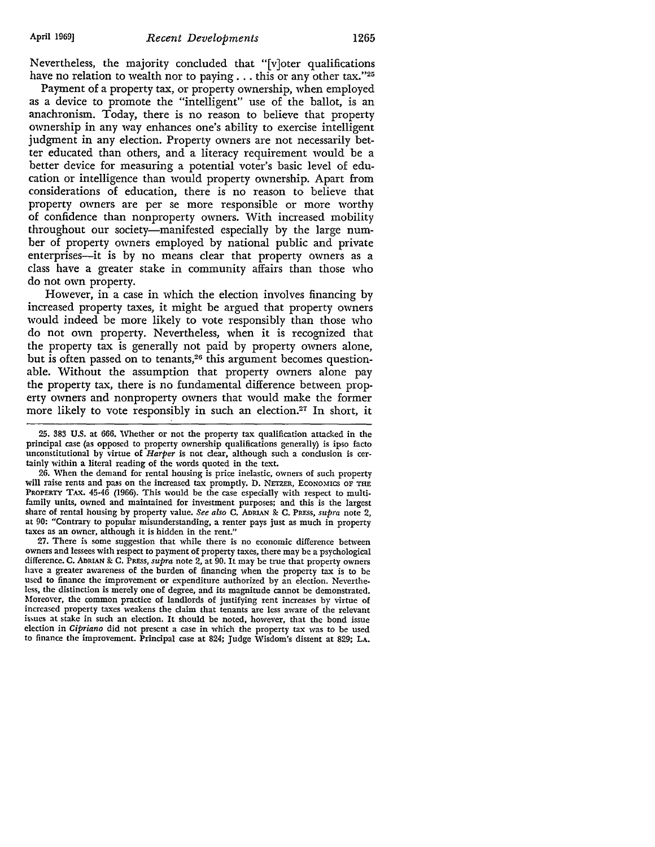Nevertheless, the majority concluded that "[v]oter qualifications have no relation to wealth nor to paying . . . this or any other tax."25

Payment of a property tax, or property ownership, when employed as a device to promote the "intelligent" use of the ballot, is an anachronism. Today, there is no reason to believe that property ownership in any way enhances one's ability to exercise intelligent judgment in any election. Property owners are not necessarily better educated than others, and a literacy requirement would be a better device for measuring a potential voter's basic level of education or intelligence than would property ownership. Apart from considerations of education, there is no reason to believe that property owners are per se more responsible or more worthy of confidence than nonproperty owners. With increased mobility throughout our society-manifested especially by the large number of property owners employed by national public and private enterprises-it is by no means clear that property owners as a class have a greater stake in community affairs than those who do not own property.

However, in a case in which the election involves financing by increased property taxes, it might be argued that property owners would indeed be more likely to vote responsibly than those who do not own property. Nevertheless, when it is recognized that the property tax is generally not paid by property owners alone, but is often passed on to tenants,<sup>26</sup> this argument becomes questionable. Without the assumption that property owners alone pay the property tax, there is no fundamental difference between property owners and nonproperty owners that would make the former more likely to vote responsibly in such an election.<sup>27</sup> In short, it

26. When the demand for rental housing is price inelastic, owners of such property will raise rents and pass on the increased tax promptly. D. NETZER, ECONOMICS OF THE PROPERTY TAX. 45-46 (1966). This would be the case especially with respect to multifamily units, owned and maintained for investment purposes; and this is the largest share of rental housing by property value. *See also* C. ADRIAN & C. PRESS, *supra* note 2, at 90: "Contrary to popular misunderstanding, a renter pays just as much in property taxes as an owner, although it is hidden in the rent."

27. There is some suggestion that while there is no economic difference between owners and lessees with respect to payment of property taxes, there may be a psychological difference. C. ADRIAN & C. PRESS, *supra* note 2, at 90. It may be true that property owners have a greater awareness of the burden of financing when the property tax is to be used to finance the improvement or expenditure authorized by an election. Nevertheless, the distinction is merely one of degree, and its magnitude cannot be demonstrated. Moreover, the common practice of landlords of justifying rent increases by virtue of increased property taxes weakens the claim that tenants are less aware of the relevant issues at stake in such an election. It should be noted, however, that the bond issue election in *Cipriano* did not present a case in which the property tax was to be used to finance the improvement. Principal case at 824; Judge Wisdom's dissent at 829; LA.

<sup>25. 383</sup> U.S. at 666. Whether or not the property tax qualification attacked in the principal case (as opposed to property ownership qualifications generally) is ipso facto unconstitutional by virtue of *Harper* is not clear, although such a conclusion is certainly within a literal reading of the words quoted in the text.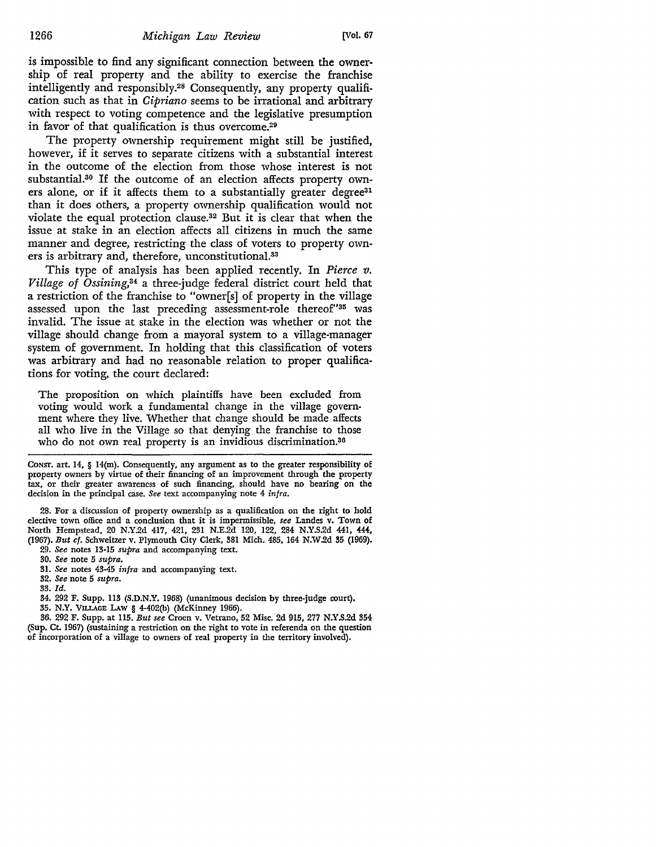is impossible to find any significant connection between the ownership of real property and the ability to exercise the franchise intelligently and responsibly.28 Consequently, any property qualification such as that in *Cipriano* seems to be irrational and arbitrary with respect to voting competence and the legislative presumption in favor of that qualification is thus overcome.29

The property ownership requirement might still be justified, however, if it serves to separate citizens with a substantial interest in the outcome of the election from those whose interest is not substantial.30 If the outcome of an election affects property owners alone, or if it affects them to a substantially greater degree<sup>31</sup> than it does others, a property ownership qualification would not violate the equal protection clause.32 But it is clear that when the issue at stake in an election affects all citizens in much the same manner and degree, restricting the class of voters to property owners is arbitrary and, therefore, unconstitutional.33

This type of analysis has been applied recently. In *Pierce v. Village of Ossining,34* a three-judge federal district court held that a restriction of the franchise to "owner[s] of property in the village assessed upon the last preceding assessment-role thereof"35 was invalid. The issue at stake in the election was whether or not the village should change from a mayoral system to a village-manager system of government. In holding that this classification of voters was arbitrary and had no reasonable relation to proper qualifications for voting, the court declared:

The proposition on which plaintiffs have been excluded from voting would work a fundamental change in the village government where they live. Whether that change should be made affects all who live in the Village so that denying the franchise to those who do not own real property is an invidious discrimination.<sup>36</sup>

CoNsr. art. 14, § 14(m). Consequently, any argument as to the greater responsibility of property owners by virtue of their financing of an improvement through the property tax, or their greater awareness of such financing, should have no bearing on the decision in the principal case. *See* text accompanying note 4 *infra.* 

28. For a discussion of property ownership as a qualification on the right to bold elective town office and a conclusion that it is impermissible, *see* Landes v. Town of North Hempstead, 20 N.Y.2d 417, 421, 231 N.E.2d 120, 122, 284 N.Y.S.2d 441, 444, (1967). *But cf.* Schweitzer v. Plymouth City Clerk, 381 Mich. 485, 164 N.W.2d 35 (1969).

- 29. *See* notes 13-15 *supra* and accompanying text.
- 30. *See* note 5 *supra.*
- 31. *See* notes 43-45 *infra* and accompanying text.
- 32. *See* note 5 *supra.*

33. *Id.* 

- 34. 292 F. Supp. 113 (S.D.N.Y. 1968) (unanimous decision by three-judge court),
- 35. N.Y. VILLAGE LAw § 4-402(b) (McKinney 1966).

36. 292 F. Supp. at 115. *But see* Croen v. Vetrano, 52 Misc. 2d 915, 277 N.Y.S.2d 354 (Sup. Ct. 1967) (sustaining a restriction on the right to vote in referenda on the question of incorporation of a village to owners of real property in the territory involved).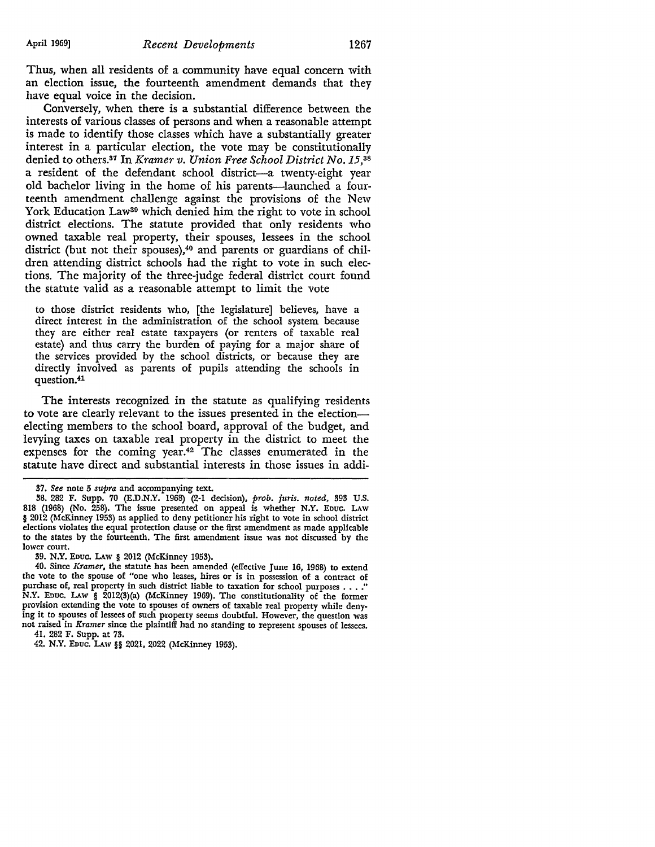Thus, when all residents of a community have equal concern with an election issue, the fourteenth amendment demands that they have equal voice in the decision.

Conversely, when there is a substantial difference between the interests of various classes of persons and when a reasonable attempt is made to identify those classes which have a substantially greater interest in a particular election, the vote may be constitutionally denied to others.37 In *Kramer v. Union Free School District* No.15,38 a resident of the defendant school district-a twenty-eight year old bachelor living in the home of his parents-launched a fourteenth amendment challenge against the provisions of the New York Education Law<sup>39</sup> which denied him the right to vote in school district elections. The statute provided that only residents who owned taxable real property, their spouses, lessees in the school district (but not their spouses),<sup>40</sup> and parents or guardians of children attending district schools had the right to vote in such elections. The majority of the three-judge federal district court found the statute valid as a reasonable attempt to limit the vote

to those district residents who, [the legislature] believes, have a direct interest in the administration of the school system because they are either real estate taxpayers (or renters of taxable real estate) and thus carry the burden of paying for a major share of the services provided by the school districts, or because they are directly involved as parents of pupils attending the schools in question.41

The interests recognized in the statute as qualifying residents to vote are clearly relevant to the issues presented in the electionelecting members to the school board, approval of the budget, and levying taxes on taxable real property in the district to meet the expenses for the coming year.42 The classes enumerated in the statute have direct and substantial interests in those issues in addi-

<sup>87.</sup> *See* note 5 *supra* and accompanying text.

<sup>88. 282</sup> F. Supp. 70 (E.D.N.Y. 1968) (2-1 decision), *prob. juris. noted,* 393 U.S. 818 (1968) (No. 258). The issue presented on appeal is whether N.Y. EDuc. LAW § 2012 (McKinney 1953) as applied to deny petitioner his right to vote in school district elections violates the equal protection clause or the first amendment as made applicable to the states by the fourteenth. The first amendment issue was not discussed by the lower court.

<sup>39.</sup> N.Y. EDUC. I.Aw § 2012 (McKinney 1953).

<sup>40.</sup> Since *Kramer,* the statute has been amended (effective June 16, 1968) to extend the vote to the spouse of "one who leases, hires or is in possession of a contract of purchase of, real property in such district liable to taxation for school purposes . . . .' **N.Y.** EDuc. I.Aw § 2012(3)(a) (McKinney 1969). The constitutionality of the former provision extending the vote to spouses of owners of taxable real property while denying it to spouses of lessees of such property seems doubtful. However, the question was not raised in *Kramer* since the plaintiff had no standing to represent spouses of lessees. 41. 282 F. Supp. at 73.

<sup>42.</sup> N.Y. EDUC. LAW§§ 2021, 2022 (McKinney 1953).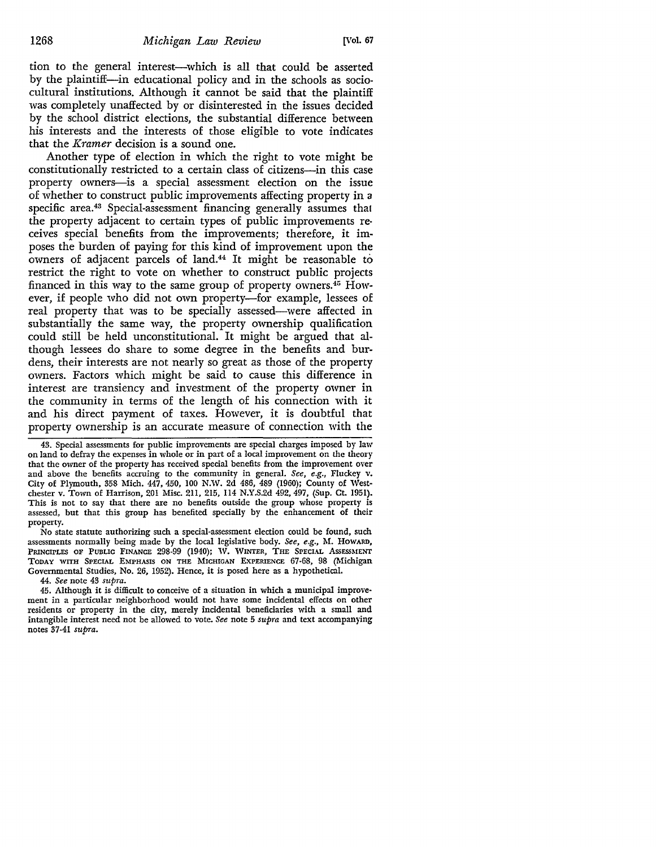tion to the general interest-which is all that could be asserted by the plaintiff-in educational policy and in the schools as sociocultural institutions. Although it cannot be said that the plaintiff was completely unaffected by or disinterested in the issues decided by the school district elections, the substantial difference between his interests and the interests of those eligible to vote indicates that the *Kramer* decision is a sound one.

Another type of election in which the right to vote might be constitutionally restricted to a certain class of citizens-in this case property owners--is a special assessment election on the issue of whether to construct public improvements affecting property in a specific area.43 Special-assessment financing generally assumes that the property adjacent to certain types of public improvements re• ceives special benefits from the improvements; therefore, it imposes the burden of paying for this kind of improvement upon the owners of adjacent parcels of land.44 It might be reasonable to restrict the right to vote on whether to construct public projects financed in this way to the same group of property owners.40 However, if people who did not own property-for example, lessees of real property that was to be specially assessed-were affected in substantially the same way, the property ownership qualification could still be held unconstitutional. It might be argued that although lessees do share to some degree in the benefits and burdens, their interests are not nearly so great as those of the property owners. Factors which might be said to cause this difference **in**  interest are transiency and investment of the property owner **in**  the community in terms of the length of his connection with it and his direct payment of taxes. However, it is doubtful that property ownership is an accurate measure of connection with the

43. Special assessments for public improvements are special charges imposed by law on land to defray the expenses in whole or in part of a local improvement on the theory that the owner of the property has received special benefits from the improvement over and above the benefits accruing to the community in general. *See, e.g.,* Fluckey v. City of Plymouth, 358 Mich. 447, 450, 100 N.W. 2d 486, 489 (1960); County of Westchester v. Town of Harrison, 201 Misc. 211, 215, 114 N.Y.S.2d 492,497, (Sup. Ct. 1951). This is not to say that there are no benefits outside the group whose property is assessed, but that this group has benefited specially by the enhancement of their property.

No state statute authorizing such a special-assessment election could be found, such assessments normally being made by the local legislative body. *See, e.g., M. HowARD,* PRINCIPLES OF PUBLIC FINANCE 298-99 (1940); W. WINTER, THE SPECIAL ASSESSMENT TODAY WITH SPECIAL EMPHASIS ON THE MICHIGAN EXPERIENCE 67-68, 98 (Michigan Governmental Studies, No. 26, 1952). Hence, it is posed here as a hypothetical.

44. *See* note 43 *supra.* 

45. Although it is difficult to conceive of a situation in which a municipal improvement in a particular neighborhood would not have some incidental effects on other residents or property in the city, merely incidental beneficiaries with a small and intangible interest need not be allowed to vote. *See* note 5 *supra* and text accompanying notes 37-41 *supra.*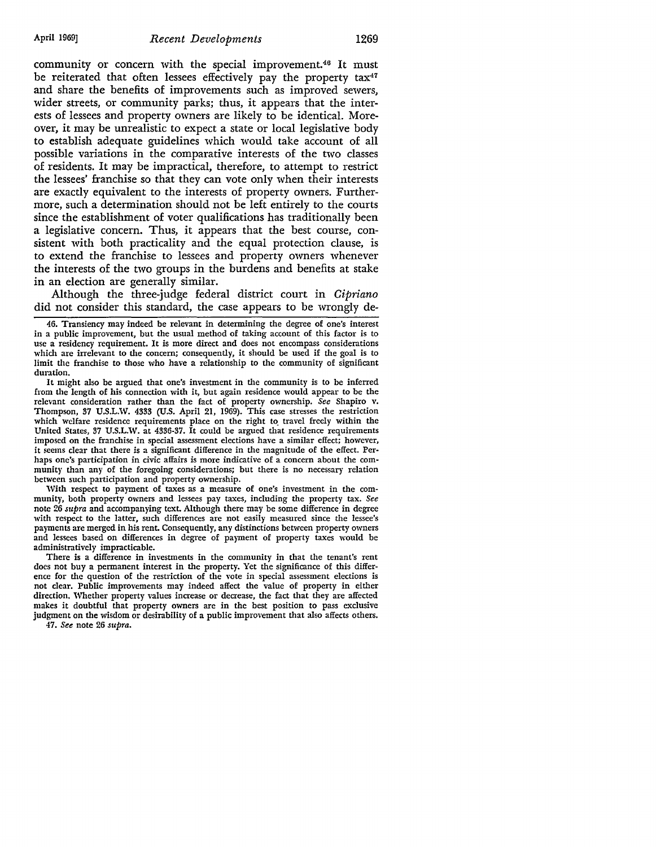community or concern with the special improvement.46 It must be reiterated that often lessees effectively pay the property  $tax^{47}$ and share the benefits of improvements such as improved sewers, wider streets, or community parks; thus, it appears that the interests of lessees and property owners are likely to be identical. Moreover, it may be unrealistic to expect a state or local legislative body to establish adequate guidelines which would take account of all possible variations in the comparative interests of the two classes of residents. It may be impractical, therefore, to attempt to restrict the lessees' franchise so that they can vote only when their interests are exactly equivalent to the interests of property owners. Furthermore, such a determination should not be left entirely to the courts since the establishment of voter qualifications has traditionally been a legislative concern. Thus, it appears that the best course, consistent with both practicality and the equal protection clause, is to extend the franchise to lessees and property owners whenever the interests of the two groups in the burdens and benefits at stake in an election are generally similar.

Although the three-judge federal district court in *Cipriano*  did not consider this standard, the case appears to be wrongly de-

46. Transiency may indeed be relevant in determining the degree of one's interest in a public improvement, but the usual method of taking account of this factor is to use a residency requirement. It is more direct and does not encompass considerations which are irrelevant to the concern; consequently, it should be used if the goal is to limit the franchise to those who have a relationship to the community of significant duration.

It might also be argued that one's investment in the community is to be inferred from the length of his connection with it, but again residence would appear to be the relevant consideration rather than the fact of property ownership. *See* Shapiro v. Thompson, 37 U.S.L.W. 4333 (U.S. April 21, 1969). This case stresses the restriction which welfare residence requirements place on the right to\_ travel freely within the United States, 37 U.S.L.W. at 4336-37. It could be argued that residence requirements imposed on the franchise in special assessment elections have a similar effect; however, it seems clear that there is a significant difference in the magnitude of the effect. Perhaps one's participation in civic affairs is more indicative of a concern about the community than any of the foregoing considerations; but there is no necessary relation between such participation and property ownership.

With respect to payment of taxes as a measure of one's investment in the community, both property owners and lessees pay taxes, including the property tax. *See*  note 26 *supra* and accompanying texL Although there may be some difference in degree with respect to the latter, such differences are not easily measured since the lessee's payments are merged in his rent. Consequently, any distinctions between property owners and lessees based on differences in degree of payment of property taxes would be administratively impracticable.

There is a difference in investments in the community in that the tenant's rent does not buy a permanent interest in the property. Yet the significance of this difference for the question of the restriction of the vote in special assessment elections is not clear. Public improvements may indeed affect the value of property in either direction. Whether property values increase or decrease, the fact that they are affected makes it doubtful that property owners arc in the best position to pass exclusive judgment on the wisdom or desirability of a public improvement that also affects others.

47. *See* note 26 *supra.*